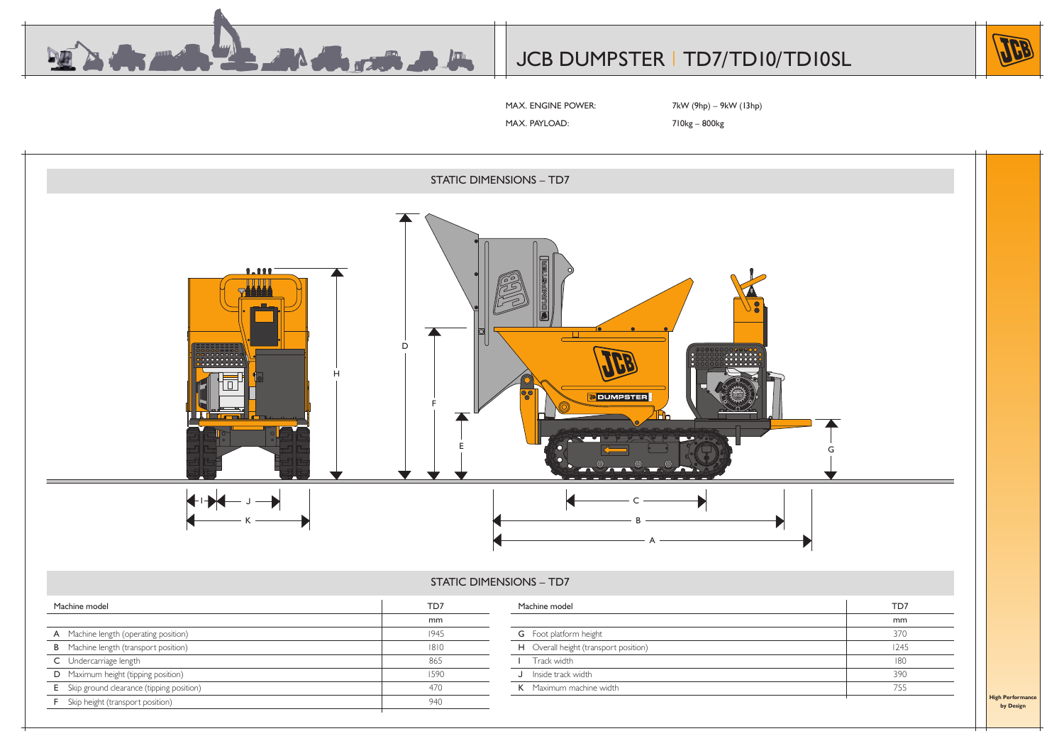



MAX. ENGINE POWER: 7kW (9hp) – 9kW (13hp)

MAX. PAYLOAD: 710kg – 800kg

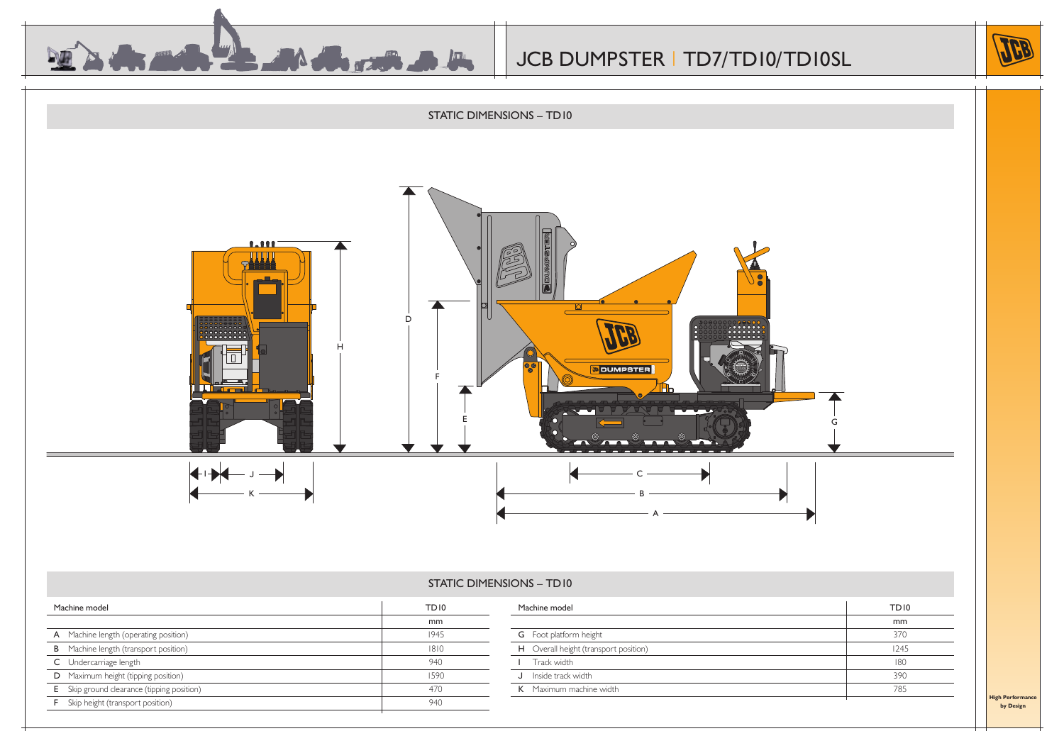



### STATIC DIMENSIONS – TD10

| Machine model                                     | TD <sub>10</sub> | Machine model                         | <b>TD10</b> |
|---------------------------------------------------|------------------|---------------------------------------|-------------|
|                                                   | mm               |                                       | mm          |
| <b>A</b> Machine length (operating position)      | 1945             | <b>G</b> Foot platform height         | 370         |
| <b>B</b> Machine length (transport position)      | 1810             | H Overall height (transport position) | 1245        |
| C Undercarriage length                            | 940              | Track width                           | 180         |
| <b>D</b> Maximum height (tipping position)        | 1590             | J Inside track width                  | 390         |
| <b>E</b> Skip ground clearance (tipping position) | 470              | K Maximum machine width               | 785         |
| <b>F</b> Skip height (transport position)         | 940              |                                       |             |

**High Performa by Design**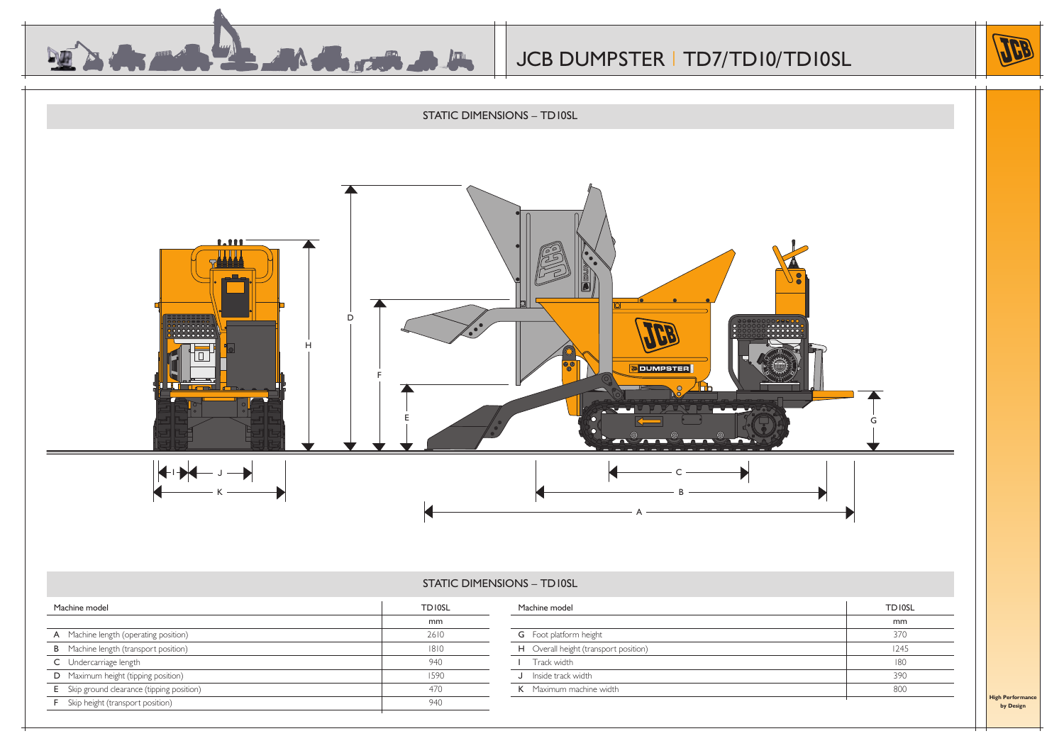





### STATIC DIMENSIONS – TD10SL

| Machine model                                     | <b>TDIOSL</b> | Machine model                         | <b>TDIOSL</b> |
|---------------------------------------------------|---------------|---------------------------------------|---------------|
|                                                   | mm            |                                       | mm            |
| A Machine length (operating position)             | 2610          | <b>G</b> Foot platform height         | 370           |
| <b>B</b> Machine length (transport position)      | 1810          | H Overall height (transport position) | 1245          |
| C Undercarriage length                            | 940           | Track width                           | 180           |
| D Maximum height (tipping position)               | 1590          | J Inside track width                  | 390           |
| <b>E</b> Skip ground clearance (tipping position) | 470           | K Maximum machine width               | 800           |
| <b>F</b> Skip height (transport position)         | 940           |                                       |               |

**High Performan by Design**